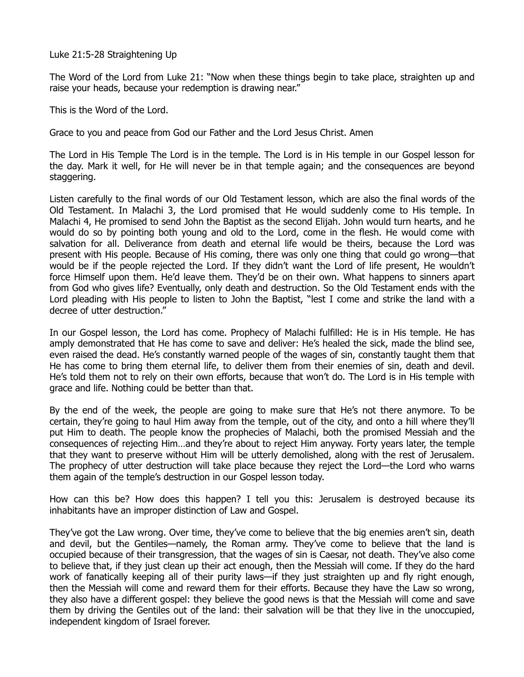Luke 21:5-28 Straightening Up

The Word of the Lord from Luke 21: "Now when these things begin to take place, straighten up and raise your heads, because your redemption is drawing near."

This is the Word of the Lord.

Grace to you and peace from God our Father and the Lord Jesus Christ. Amen

The Lord in His Temple The Lord is in the temple. The Lord is in His temple in our Gospel lesson for the day. Mark it well, for He will never be in that temple again; and the consequences are beyond staggering.

Listen carefully to the final words of our Old Testament lesson, which are also the final words of the Old Testament. In Malachi 3, the Lord promised that He would suddenly come to His temple. In Malachi 4, He promised to send John the Baptist as the second Elijah. John would turn hearts, and he would do so by pointing both young and old to the Lord, come in the flesh. He would come with salvation for all. Deliverance from death and eternal life would be theirs, because the Lord was present with His people. Because of His coming, there was only one thing that could go wrong—that would be if the people rejected the Lord. If they didn't want the Lord of life present, He wouldn't force Himself upon them. He'd leave them. They'd be on their own. What happens to sinners apart from God who gives life? Eventually, only death and destruction. So the Old Testament ends with the Lord pleading with His people to listen to John the Baptist, "lest I come and strike the land with a decree of utter destruction."

In our Gospel lesson, the Lord has come. Prophecy of Malachi fulfilled: He is in His temple. He has amply demonstrated that He has come to save and deliver: He's healed the sick, made the blind see, even raised the dead. He's constantly warned people of the wages of sin, constantly taught them that He has come to bring them eternal life, to deliver them from their enemies of sin, death and devil. He's told them not to rely on their own efforts, because that won't do. The Lord is in His temple with grace and life. Nothing could be better than that.

By the end of the week, the people are going to make sure that He's not there anymore. To be certain, they're going to haul Him away from the temple, out of the city, and onto a hill where they'll put Him to death. The people know the prophecies of Malachi, both the promised Messiah and the consequences of rejecting Him…and they're about to reject Him anyway. Forty years later, the temple that they want to preserve without Him will be utterly demolished, along with the rest of Jerusalem. The prophecy of utter destruction will take place because they reject the Lord—the Lord who warns them again of the temple's destruction in our Gospel lesson today.

How can this be? How does this happen? I tell you this: Jerusalem is destroyed because its inhabitants have an improper distinction of Law and Gospel.

They've got the Law wrong. Over time, they've come to believe that the big enemies aren't sin, death and devil, but the Gentiles—namely, the Roman army. They've come to believe that the land is occupied because of their transgression, that the wages of sin is Caesar, not death. They've also come to believe that, if they just clean up their act enough, then the Messiah will come. If they do the hard work of fanatically keeping all of their purity laws—if they just straighten up and fly right enough, then the Messiah will come and reward them for their efforts. Because they have the Law so wrong, they also have a different gospel: they believe the good news is that the Messiah will come and save them by driving the Gentiles out of the land: their salvation will be that they live in the unoccupied, independent kingdom of Israel forever.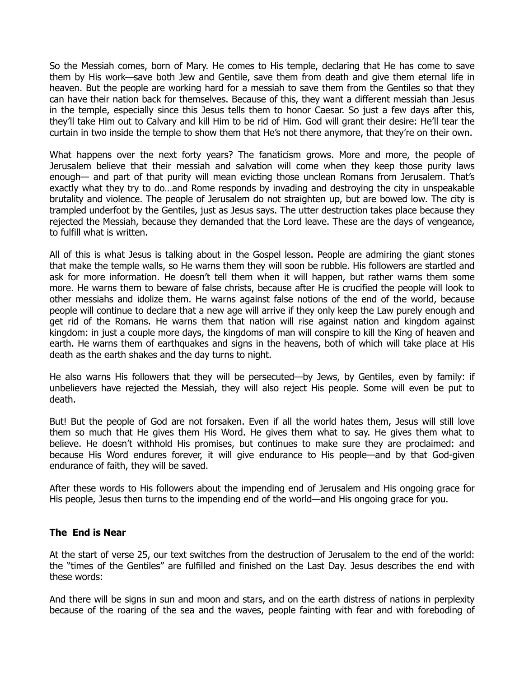So the Messiah comes, born of Mary. He comes to His temple, declaring that He has come to save them by His work—save both Jew and Gentile, save them from death and give them eternal life in heaven. But the people are working hard for a messiah to save them from the Gentiles so that they can have their nation back for themselves. Because of this, they want a different messiah than Jesus in the temple, especially since this Jesus tells them to honor Caesar. So just a few days after this, they'll take Him out to Calvary and kill Him to be rid of Him. God will grant their desire: He'll tear the curtain in two inside the temple to show them that He's not there anymore, that they're on their own.

What happens over the next forty years? The fanaticism grows. More and more, the people of Jerusalem believe that their messiah and salvation will come when they keep those purity laws enough— and part of that purity will mean evicting those unclean Romans from Jerusalem. That's exactly what they try to do…and Rome responds by invading and destroying the city in unspeakable brutality and violence. The people of Jerusalem do not straighten up, but are bowed low. The city is trampled underfoot by the Gentiles, just as Jesus says. The utter destruction takes place because they rejected the Messiah, because they demanded that the Lord leave. These are the days of vengeance, to fulfill what is written.

All of this is what Jesus is talking about in the Gospel lesson. People are admiring the giant stones that make the temple walls, so He warns them they will soon be rubble. His followers are startled and ask for more information. He doesn't tell them when it will happen, but rather warns them some more. He warns them to beware of false christs, because after He is crucified the people will look to other messiahs and idolize them. He warns against false notions of the end of the world, because people will continue to declare that a new age will arrive if they only keep the Law purely enough and get rid of the Romans. He warns them that nation will rise against nation and kingdom against kingdom: in just a couple more days, the kingdoms of man will conspire to kill the King of heaven and earth. He warns them of earthquakes and signs in the heavens, both of which will take place at His death as the earth shakes and the day turns to night.

He also warns His followers that they will be persecuted—by Jews, by Gentiles, even by family: if unbelievers have rejected the Messiah, they will also reject His people. Some will even be put to death.

But! But the people of God are not forsaken. Even if all the world hates them, Jesus will still love them so much that He gives them His Word. He gives them what to say. He gives them what to believe. He doesn't withhold His promises, but continues to make sure they are proclaimed: and because His Word endures forever, it will give endurance to His people—and by that God-given endurance of faith, they will be saved.

After these words to His followers about the impending end of Jerusalem and His ongoing grace for His people, Jesus then turns to the impending end of the world—and His ongoing grace for you.

## **The End is Near**

At the start of verse 25, our text switches from the destruction of Jerusalem to the end of the world: the "times of the Gentiles" are fulfilled and finished on the Last Day. Jesus describes the end with these words:

And there will be signs in sun and moon and stars, and on the earth distress of nations in perplexity because of the roaring of the sea and the waves, people fainting with fear and with foreboding of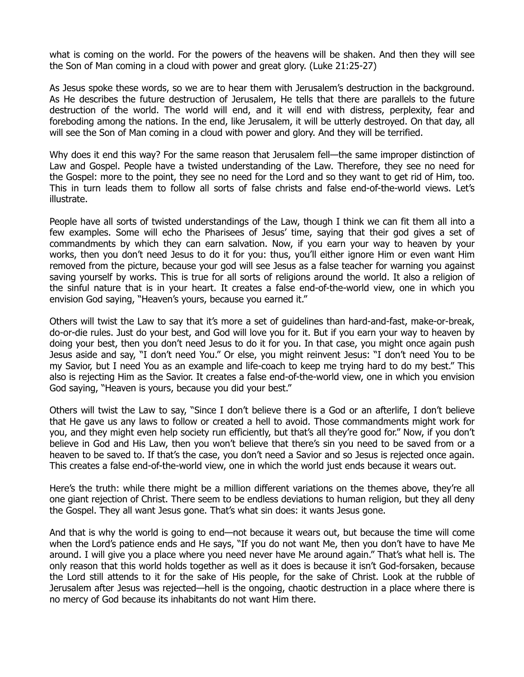what is coming on the world. For the powers of the heavens will be shaken. And then they will see the Son of Man coming in a cloud with power and great glory. (Luke 21:25-27)

As Jesus spoke these words, so we are to hear them with Jerusalem's destruction in the background. As He describes the future destruction of Jerusalem, He tells that there are parallels to the future destruction of the world. The world will end, and it will end with distress, perplexity, fear and foreboding among the nations. In the end, like Jerusalem, it will be utterly destroyed. On that day, all will see the Son of Man coming in a cloud with power and glory. And they will be terrified.

Why does it end this way? For the same reason that Jerusalem fell—the same improper distinction of Law and Gospel. People have a twisted understanding of the Law. Therefore, they see no need for the Gospel: more to the point, they see no need for the Lord and so they want to get rid of Him, too. This in turn leads them to follow all sorts of false christs and false end-of-the-world views. Let's illustrate.

People have all sorts of twisted understandings of the Law, though I think we can fit them all into a few examples. Some will echo the Pharisees of Jesus' time, saying that their god gives a set of commandments by which they can earn salvation. Now, if you earn your way to heaven by your works, then you don't need Jesus to do it for you: thus, you'll either ignore Him or even want Him removed from the picture, because your god will see Jesus as a false teacher for warning you against saving yourself by works. This is true for all sorts of religions around the world. It also a religion of the sinful nature that is in your heart. It creates a false end-of-the-world view, one in which you envision God saying, "Heaven's yours, because you earned it."

Others will twist the Law to say that it's more a set of guidelines than hard-and-fast, make-or-break, do-or-die rules. Just do your best, and God will love you for it. But if you earn your way to heaven by doing your best, then you don't need Jesus to do it for you. In that case, you might once again push Jesus aside and say, "I don't need You." Or else, you might reinvent Jesus: "I don't need You to be my Savior, but I need You as an example and life-coach to keep me trying hard to do my best." This also is rejecting Him as the Savior. It creates a false end-of-the-world view, one in which you envision God saying, "Heaven is yours, because you did your best."

Others will twist the Law to say, "Since I don't believe there is a God or an afterlife, I don't believe that He gave us any laws to follow or created a hell to avoid. Those commandments might work for you, and they might even help society run efficiently, but that's all they're good for." Now, if you don't believe in God and His Law, then you won't believe that there's sin you need to be saved from or a heaven to be saved to. If that's the case, you don't need a Savior and so Jesus is rejected once again. This creates a false end-of-the-world view, one in which the world just ends because it wears out.

Here's the truth: while there might be a million different variations on the themes above, they're all one giant rejection of Christ. There seem to be endless deviations to human religion, but they all deny the Gospel. They all want Jesus gone. That's what sin does: it wants Jesus gone.

And that is why the world is going to end—not because it wears out, but because the time will come when the Lord's patience ends and He says, "If you do not want Me, then you don't have to have Me around. I will give you a place where you need never have Me around again." That's what hell is. The only reason that this world holds together as well as it does is because it isn't God-forsaken, because the Lord still attends to it for the sake of His people, for the sake of Christ. Look at the rubble of Jerusalem after Jesus was rejected—hell is the ongoing, chaotic destruction in a place where there is no mercy of God because its inhabitants do not want Him there.